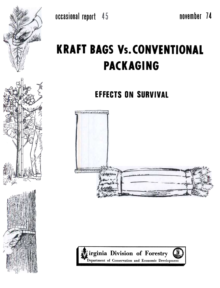# **KRAFT BAGS Vs. CONVENTIONAL PACKAGING**

**EFFECTS ON SURVIVAL** 









 $^{\prime}$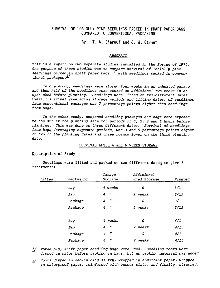# SURVIVAL OF LOBLOLLY PINE SEEDLINGS PACKED IN KRAFT PAPER BAGS COMPARED TO CONVENTIONAL PACKAGING

By: T. A. Dierauf and J. W. Garner

## ABSTRACT

This is a report on two separate studies installed in the Spring of 1970. The purpose of these studies was to compare survival of loblolly pine seedlings packed in kraft paper bags  $\frac{1}{2}$  with seedlings packed in conventional packages. $\stackrel{f}{\sim}$ 

In one study, seedlings were stored four weeks in an unheated garage and then half of the seedlings were stored an additional two weeks in an open shed before planting. Seedlings were lifted on two.different dates. Overall survival (averaging storage periods and lifting dates) of seedlings from conventional packages was 7 percentage points higher than seedlings from bags.

In the other study, unopened seedling packages and bags were exposed to the sun at the planting site for periods of  $0, 2, 4$  and 6 hours before planting. This was done on three different dates. Survival of seedlings from bags (averaging exposure periods) was 3 and 5 percentage points higher on two of the planting dates and three points lower on the third planting date.

#### SURVIVAL AFTER 4 and 6 WEEKS STORAGE

## Description of Study

Seedlings were lifted and packed on two different dates to give 8 treatments:

| Lifted | Packaging | Garage<br>Storage                       | Additional<br>Shed Storage | Planted |
|--------|-----------|-----------------------------------------|----------------------------|---------|
|        |           |                                         |                            |         |
|        | Bag       | 4 weeks                                 | 0                          | 3/1     |
|        | Bag       | Ħ<br>$\boldsymbol{4}$                   | 2 weeks                    | 3/15    |
|        | Package   | n<br>4                                  | 0                          | 3/1     |
|        | Package   | Ħ<br>4                                  | 2 weeks                    | 3/15    |
|        | Bag       | 4 weeks                                 | 0                          | 4/1     |
|        | Bag       | n<br>4                                  | 2 weeks                    | 4/15    |
|        | Package   | $^{\prime\prime}$<br>4                  | 0                          | 4/1     |
|        | Package   | $\boldsymbol{\eta}$<br>$\boldsymbol{4}$ | weeks<br>$\overline{2}$    | 4/15    |

- $1\!/$  Three ply, kraft paper seedling bags were used. Seedling roots were dipped in water before packing in bags, but no packing material was added
- 2/ Roots dipped in kaolin clay slurry, wrapped in absorbent paper, wrappe in waterproof paper, reinforced with veneer slats, and finally, strapped.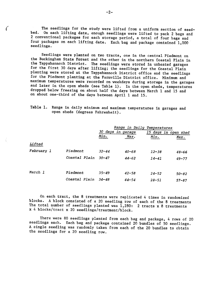The seedlings for the study were lifted from a uniform section of seedbed. On each lifting date, enough seedlings were lifted to pack 2 bags and 2 conventional packages for each storage period, a total of four bags and four packages on each lifting date. Each. bag and package contained 1,000 seedlings.

Seedlings were planted on two tracts, one in the central Piedmont on the Buckingham State Forest and the other in the northern Coastal Plain in the Tappahannock District. The seedlings were stored in unheated garages for the first 30 days after lifting; the seedlings for the Coastal Plain planting were stored at the Tappahannock District office and the seedlings for the Piedmont planting at the Farmville District office. Minimum and maximum temperatures were recorded on weekdays during storage in the garages and later in the open sheds (see Table 1). In the open sheds, temperatures dropped below freezing on about half the days between March 1 and 15 and on about one-third of the days between April 1 and 15.

| Table 1. Range in daily minimum and maximum temperatures in garages and |  |  |
|-------------------------------------------------------------------------|--|--|
| open sheds (degrees Fahrenheit).                                        |  |  |

|            |                      |           | Range in Daily Temperatures |                      |           |
|------------|----------------------|-----------|-----------------------------|----------------------|-----------|
|            |                      |           | 30 days in garage           | 15 days in open shed |           |
|            |                      | Min.      | Max.                        | Min.                 | Max.      |
| Lifted     |                      |           |                             |                      |           |
| February 1 | Piedmont             | $32 - 44$ | $40 - 68$                   | $12 - 38$            | $48 - 66$ |
|            | Coastal Plain        | $30 - 47$ | $44 - 62$                   | $14 - 41$            | $49 - 77$ |
| March 1    | Piedmont             | $35 - 49$ | $42 - 58$                   | $24 - 52$            | $50 - 82$ |
|            | <i>Coastal Plain</i> | $34 - 48$ | $44 - 54$                   | $28 - 51$            | $57 - 87$ |

On each tract, the 8 treatments were replicated 4 times in randomized blocks. A block consisted of a 20 seedling row of each of the 8 treatments The total number of seedlings planted was  $1,280:$  2 tracts x 8 treatments x 4 blocks/tract x 20 seedlings/treatment/block.

There were 80 seedlings planted from each bag and package, 4 rows of 20 seedlings each. Each bag and package contained 20 bundles of 50 seedlings. A single seedling was randomly taken from each of the 20 bundles to obtain the seedlings for a 20 seedling row.

 $\big($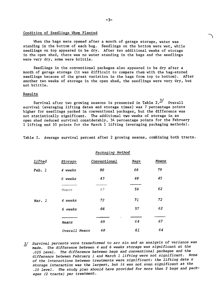## Condition of Seedlings When Planted

When the bags were opened after a month of garage storage, water was standing in the bottom of each bag. Seedlings on the bottom were wet, while seedlings on top appeared to be dry. After two additional weeks of storage in the open shed, there was no water standing in the bags and the seedlings were very dry, some were brittle.

Seedlings in the conventional packages also appeared to be dry after a month of garage storage (it was difficult to compare them with the bag-stored seedlings because of the great variation in the bags from top to bottom). After another two weeks of storage in the open shed, the seedlings were very dry, but not brittle.

#### Results

Survival after two growing seasons is presented in Table  $2.\frac{3}{7}$  Overall survival (averaging lifting dates and storage times) was 7 percentage points higher for seedlings packed in conventional packages, but the difference was not statistically significant. The additional two weeks of storage in an open shed reduced survival considerably, 34 percentage points for the February 1 lifting and 10 points for the March 1 lifting (averaging packaging methods).

Table 2. Average survival percent after 2 growing seaons, combining both tracts.

Packaging Method

| Lifted | Storage       | Conventional | Bags | Means |
|--------|---------------|--------------|------|-------|
| Feb. 1 | 4 weeks       | 90           | 68   | 79    |
|        | 6 weeks       | 43           | 48   | 45    |
|        | Means         | 67           | 58   | 62    |
| Mar. 1 | 4 weeks       | 72           | 71   | 72    |
|        | 6 weeks       | 66           | 57   | 62    |
|        | Means         | 69           | 64   | 67    |
|        | Overall Means | 68           | 61   | 64    |
|        |               |              |      |       |

<sup>3/</sup> Survival percents were transformed to arc sin and an analysis of variance was made. The difference between 4 and 6 weeks storage was significant at the .025 level. The difference between bags and conventional packages and the difference between February 1 and March 1 lifting were not significant. None of the interactions between treatments were significant; the lifting date x storage interaction was the largest, but it was not even significant at the .10 level. The study plan should have provided for more than 2 bags and packages (2 tracts) per treatment.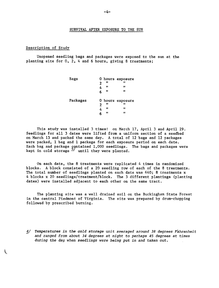# SURVIVAL AFTER EXPOSURE TO THE SUN

#### Description of Study

 $\mathfrak{t}$ 

Unopened seedling bags and packages were exposed to the sun at the planting site for  $0, 2, 4$  and 6 hours, giving 8 treatments;

| Bags     |   |    | 0 hours exposure |
|----------|---|----|------------------|
|          | 2 | 11 | Ħ                |
|          | 4 | m  | Ħ                |
|          | 6 | Ħ  | Ħ                |
| Packages |   |    | 0 hours exposure |
|          | 2 | 11 | 11               |
|          | 4 | Ħ  | Ħ                |
|          | 6 | Ħ  | Ħ                |

This study was installed 3 times: on March 17, April 3 and April 29. Seedlings for all 3 dates were lifted from a uniform section of a seedbed on March 13 and packed the same day. A total of 12 bags and 12 packages were packed, 1 bag and 1 package for each exposure period on each date. Each bag and package  $\frak c$ ontained 1,000 seedlings. The bags and packages wer kept in cold storage  $-$  until they were plant

On each date, the 8 treatments were replicated 4 times in randomized blocks. A block consisted of a 20 seedling row of each of the 8 treatments. The total number of seedlings planted on each date was 640; 8 treatments x 4 blocks x 20 seedlings/treatment/block. The 3 different plantings (planting dates) were installed adjacent to each other on the same tract.

The planting site was a well drained soil on the Buckingham State Forest in the central Piedmont of Virginia. The site was prepared by drum-chopping followed by prescribed burning.

4/ Temperatures in the cold storage unit averaged around 38 degrees Fahrenheit and ranged from about 34 degrees at night to perhaps 45 degrees at times during the day when seedlings were being put in and taken out.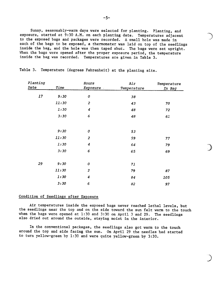Sunny, seasonably-warm days were selected for planting. Planting, and exposure, started at 9:30 A.M. on each planting date. Temperatures adjacent to the exposed bags and packages were recorded. A small hole was made in each of the bags to be exposed, a thermometer was laid on top of the seedlings inside the bag, and the hole was then taped shut. The bags were set upright. When the bags were opened after the proper exposure period, the temperature inside the bag was recorded. Temperatures are given in Table 3.

| Planting |       | Hours            | Air         | Temperature |
|----------|-------|------------------|-------------|-------------|
| Date     | Time  | Exposure         | Temperature | In Bag      |
| 17       | 9:30  | 0                | 38          |             |
|          | 11:30 | $\overline{c}$   | 43          | 70          |
|          | 1:30  | $\boldsymbol{4}$ | 48          | 72          |
|          | 3:30  | 6                | 48          | 61          |
|          |       |                  |             |             |
|          | 9:30  | 0                | 53          |             |
|          | 11:30 | $\overline{c}$   | 59          | 77          |
|          | 1:30  | $\boldsymbol{4}$ | 64          | 79          |
|          | 3:30  | 6                | 65          | 69          |
| 29       | 9:30  | 0                | 71          |             |
|          | 11:30 | $\overline{c}$   | 79          | 87          |
|          | 1:30  | $\boldsymbol{4}$ | 84          | 105         |
|          | 3:30  | 6                | 82          | 97          |

Table 3. Temperature (degrees Fahrenheit) at the planting site.

# Condition of Seedlings after Exposure

Air temperatures inside the exposed bags never reached lethal levels, but the seedlings near the top and on the side toward the sun felt warm to the touch when the bags were opened at 1:30 and 3:30 on April 3 and 29. The seedlings also dried out around the outside, staying moist in the interior.

In the conventional packages, the seedlings also got warm to the touch around the top and side facing the sun. On April 29 the needles had started to turn yellow-green by 1:30 and were quite yellow-green by 3:30.

)

)<br>ن

)